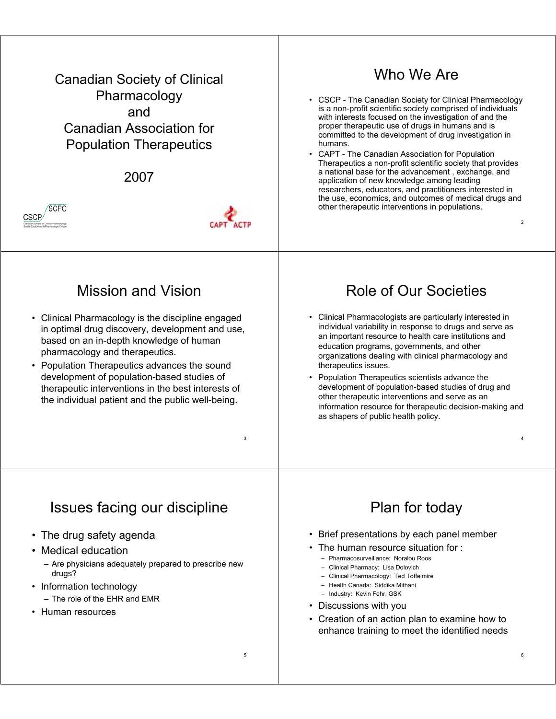Canadian Society of Clinical Pharmacology and Canadian Association for Population Therapeutics

2007





### Mission and Vision

- Clinical Pharmacology is the discipline engaged in optimal drug discovery, development and use, based on an in-depth knowledge of human pharmacology and therapeutics.
- Population Therapeutics advances the sound development of population-based studies of therapeutic interventions in the best interests of the individual patient and the public well-being.

# Who We Are

- CSCP The Canadian Society for Clinical Pharmacology is a non-profit scientific society comprised of individuals with interests focused on the investigation of and the proper therapeutic use of drugs in humans and is committed to the development of drug investigation in humans.
- CAPT The Canadian Association for Population Therapeutics a non-profit scientific society that provides a national base for the advancement , exchange, and application of new knowledge among leading researchers, educators, and practitioners interested in the use, economics, and outcomes of medical drugs and other therapeutic interventions in populations.

2

4

6

# Role of Our Societies

- Clinical Pharmacologists are particularly interested in individual variability in response to drugs and serve as an important resource to health care institutions and education programs, governments, and other organizations dealing with clinical pharmacology and therapeutics issues.
- Population Therapeutics scientists advance the development of population-based studies of drug and other therapeutic interventions and serve as an information resource for therapeutic decision-making and as shapers of public health policy.

## Issues facing our discipline

- The drug safety agenda
- Medical education
	- Are physicians adequately prepared to prescribe new drugs?
- Information technology – The role of the EHR and EMR
- Human resources

# Plan for today

- Brief presentations by each panel member
- The human resource situation for :
	- Pharmacosurveillance: Noralou Roos
	- Clinical Pharmacy: Lisa Dolovich
	- Clinical Pharmacology: Ted Toffelmire – Health Canada: Siddika Mithani
	- Industry: Kevin Fehr, GSK
	-
- Discussions with you
- Creation of an action plan to examine how to enhance training to meet the identified needs

3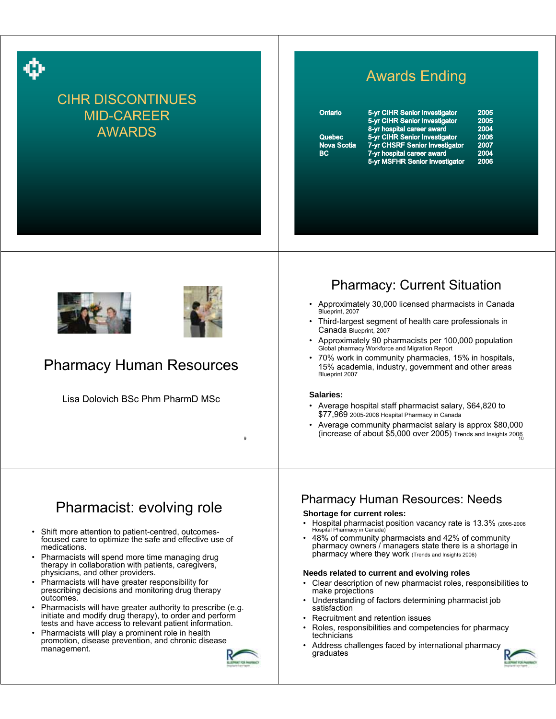

## CIHR DISCONTINUES MID-CAREER AWARDS

# Awards Ending

# Quebec

| Ontario            | 5-yr CIHR Senior Investigator  | 2005 |
|--------------------|--------------------------------|------|
|                    | 5-yr CIHR Senior Investigator  | 2005 |
|                    | 8-yr hospital career award     | 2004 |
| Quebec             | 5-yr CIHR Senior Investigator  | 2006 |
| <b>Nova Scotia</b> | 7-yr CHSRF Senior Investigator | 2007 |
| BC.                | 7-yr hospital career award     | 2004 |
|                    | 5-yr MSFHR Senior Investigator | 2006 |
|                    |                                |      |





### Pharmacy Human Resources

Lisa Dolovich BSc Phm PharmD MSc

### Pharmacy: Current Situation

- Approximately 30,000 licensed pharmacists in Canada Blueprint, 2007
- Third-largest segment of health care professionals in Canada Blueprint, 2007
- Approximately 90 pharmacists per 100,000 population Global pharmacy Workforce and Migration Report
- 70% work in community pharmacies, 15% in hospitals, 15% academia, industry, government and other areas Blueprint 2007

#### **Salaries:**

- Average hospital staff pharmacist salary, \$64,820 to \$77,969 2005-2006 Hospital Pharmacy in Canada
- (increase of about \$5,000 over 2005) Trends and Insights 200 $_{\stackrel{1}{10}}$ • Average community pharmacist salary is approx \$80,000

# Pharmacist: evolving role

- Shift more attention to patient-centred, outcomesfocused care to optimize the safe and effective use of medications.
- Pharmacists will spend more time managing drug therapy in collaboration with patients, caregivers, physicians, and other providers.
- Pharmacists will have greater responsibility for prescribing decisions and monitoring drug therapy outcomes.
- Pharmacists will have greater authority to prescribe (e.g. initiate and modify drug therapy), to order and perform tests and have access to relevant patient information.
- Pharmacists will play a prominent role in health promotion, disease prevention, and chronic disease



9

### Pharmacy Human Resources: Needs

#### **Shortage for current roles:**

- Hospital pharmacist position vacancy rate is 13.3% (2005-2006 Hospital Pharmacy in Canada)
- 48% of community pharmacists and 42% of community pharmacy owners / managers state there is a shortage in pharmacy where they work (Trends and Insights 2006)

#### **Needs related to current and evolving roles**

- Clear description of new pharmacist roles, responsibilities to make projections
- Understanding of factors determining pharmacist job satisfaction
- Recruitment and retention issues
- Roles, responsibilities and competencies for pharmacy technicians
- management.<br>The management of the state of the state of the state of the state of the state of the state of the state of the state of the state of the state of the state of the state of the state of the state of the state graduates

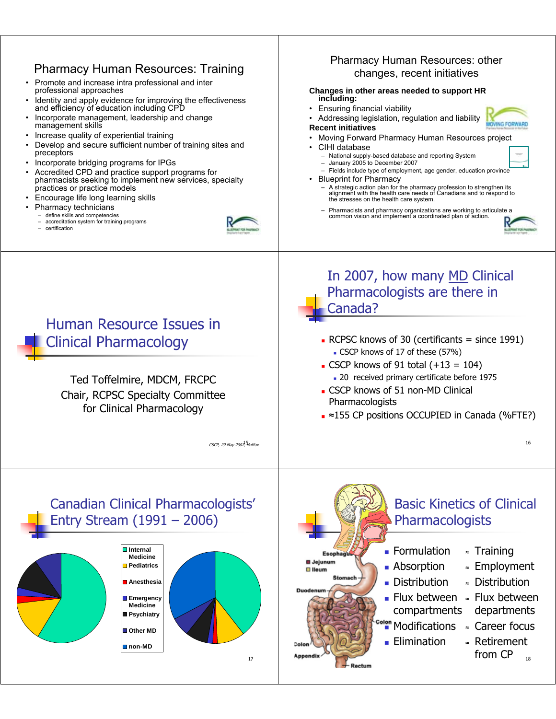#### Pharmacy Human Resources: other Pharmacy Human Resources: Training changes, recent initiatives • Promote and increase intra professional and inter professional approaches **Changes in other areas needed to support HR including:** Identity and apply evidence for improving the effectiveness and efficiency of education including CPD • Ensuring financial viability • Incorporate management, leadership and change • Addressing legislation, regulation and liability management skills **Recent initiatives** • Increase quality of experiential training • Moving Forward Pharmacy Human Resources project • Develop and secure sufficient number of training sites and • CIHI database preceptors – National supply-based database and reporting System • Incorporate bridging programs for IPGs – January 2005 to December 2007 – Fields include type of employment, age gender, education province • Accredited CPD and practice support programs for pharmacists seeking to implement new services, specialty • Blueprint for Pharmacy practices or practice models – A strategic action plan for the pharmacy profession to strengthen its alignment with the health care needs of Canadians and to respond to the stresses on the health care system. • Encourage life long learning skills Pharmacy technicians – Pharmacists and pharmacy organizations are working to articulate a – define skills and competencies common vision and implement a coordinated plan of action. – accreditation system for training programs 13 14 – certification In 2007, how many MD Clinical Pharmacologists are there in Canada? Human Resource Issues in Clinical Pharmacology RCPSC knows of 30 (certificants  $=$  since 1991) CSCP knows of 17 of these (57%) CSCP knows of 91 total  $(+13 = 104)$ 20 received primary certificate before 1975 Ted Toffelmire, MDCM, FRCPC CSCP knows of 51 non-MD Clinical Chair, RCPSC Specialty Committee Pharmacologists for Clinical Pharmacology ■ ≈155 CP positions OCCUPIED in Canada (%FTE?) 15 CSCP, 29 May 2007, Halifax 16 Canadian Clinical Pharmacologists' Basic Kinetics of Clinical Entry Stream (1991 – 2006) **Pharmacologists Internal Formulation** <sup>≈</sup> Training Esop **Medicine B** Jejunum **Pediatrics Absorption** <sup>≈</sup> Employment **D** lieum Distribution <sup>≈</sup> Distribution **Anesthesia** ■ Flux between » Flux between **Emergency Medicine** compartments departments **Psychiatry** <sup>≈</sup> Career focus Modifications **Other MD Elimination** <sup>≈</sup> Retirement **non-MD** from CP 17 18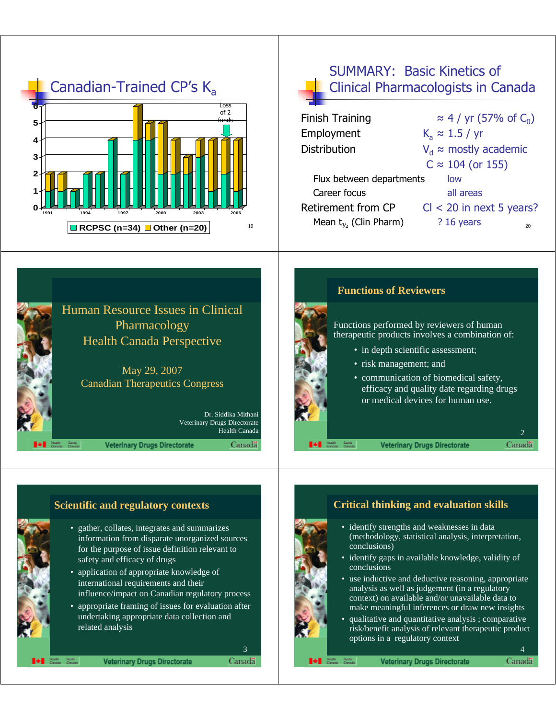

### SUMMARY: Basic Kinetics of Clinical Pharmacologists in Canada

| <b>Finish Training</b>      | $\approx$ 4 / yr (57% of C <sub>0</sub> ) |
|-----------------------------|-------------------------------------------|
| Employment                  | $K_a \approx 1.5 / yr$                    |
| <b>Distribution</b>         | $V_d \approx$ mostly academic             |
|                             | $C \approx 104$ (or 155)                  |
| Flux between departments    | low                                       |
| Career focus                | all areas                                 |
| Retirement from CP          | $Cl < 20$ in next 5 years?                |
| Mean $t_{1/2}$ (Clin Pharm) | $?16$ years<br>20                         |
|                             |                                           |





#### **Functions of Reviewers**

Functions performed by reviewers of human therapeutic products involves a combination of:

- in depth scientific assessment;
- risk management; and
- communication of biomedical safety, efficacy and quality date regarding drugs or medical devices for human use.

**Veterinary Drugs Directorate** 

Canada

### • gather, collates, integrates and summarizes information from disparate unorganized sources for the purpose of issue definition relevant to safety and efficacy of drugs • application of appropriate knowledge of international requirements and their influence/impact on Canadian regulatory process • appropriate framing of issues for evaluation after undertaking appropriate data collection and related analysis

h Rainte<br>An Canada

**Veterinary Drugs Directorate** 

Canadä<sup>®</sup>

3

### **Scientific and regulatory contexts Critical thinking and evaluation skills**

- identify strengths and weaknesses in data (methodology, statistical analysis, interpretation, conclusions)
- identify gaps in available knowledge, validity of conclusions
- use inductive and deductive reasoning, appropriate analysis as well as judgement (in a regulatory context) on available and/or unavailable data to make meaningful inferences or draw new insights
- qualitative and quantitative analysis ; comparative risk/benefit analysis of relevant therapeutic product options in a regulatory context

4Canada